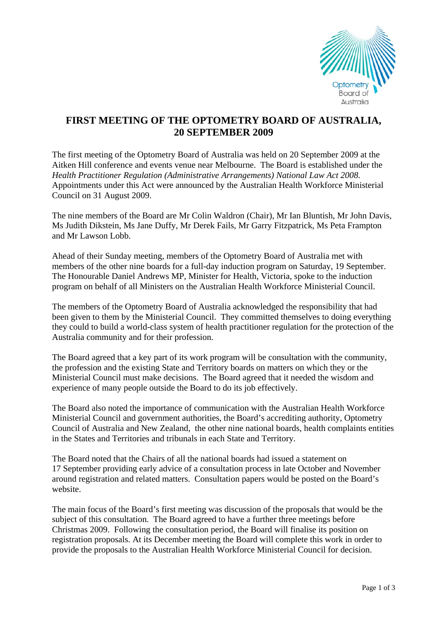

## **FIRST MEETING OF THE OPTOMETRY BOARD OF AUSTRALIA, 20 SEPTEMBER 2009**

The first meeting of the Optometry Board of Australia was held on 20 September 2009 at the Aitken Hill conference and events venue near Melbourne. The Board is established under the *Health Practitioner Regulation (Administrative Arrangements) National Law Act 2008.*  Appointments under this Act were announced by the Australian Health Workforce Ministerial Council on 31 August 2009.

The nine members of the Board are Mr Colin Waldron (Chair), Mr Ian Bluntish, Mr John Davis, Ms Judith Dikstein, Ms Jane Duffy, Mr Derek Fails, Mr Garry Fitzpatrick, Ms Peta Frampton and Mr Lawson Lobb.

Ahead of their Sunday meeting, members of the Optometry Board of Australia met with members of the other nine boards for a full-day induction program on Saturday, 19 September. The Honourable Daniel Andrews MP, Minister for Health, Victoria, spoke to the induction program on behalf of all Ministers on the Australian Health Workforce Ministerial Council.

The members of the Optometry Board of Australia acknowledged the responsibility that had been given to them by the Ministerial Council. They committed themselves to doing everything they could to build a world-class system of health practitioner regulation for the protection of the Australia community and for their profession.

The Board agreed that a key part of its work program will be consultation with the community, the profession and the existing State and Territory boards on matters on which they or the Ministerial Council must make decisions. The Board agreed that it needed the wisdom and experience of many people outside the Board to do its job effectively.

The Board also noted the importance of communication with the Australian Health Workforce Ministerial Council and government authorities, the Board's accrediting authority, Optometry Council of Australia and New Zealand, the other nine national boards, health complaints entities in the States and Territories and tribunals in each State and Territory.

The Board noted that the Chairs of all the national boards had issued a statement on 17 September providing early advice of a consultation process in late October and November around registration and related matters. Consultation papers would be posted on the Board's website.

The main focus of the Board's first meeting was discussion of the proposals that would be the subject of this consultation. The Board agreed to have a further three meetings before Christmas 2009. Following the consultation period, the Board will finalise its position on registration proposals. At its December meeting the Board will complete this work in order to provide the proposals to the Australian Health Workforce Ministerial Council for decision.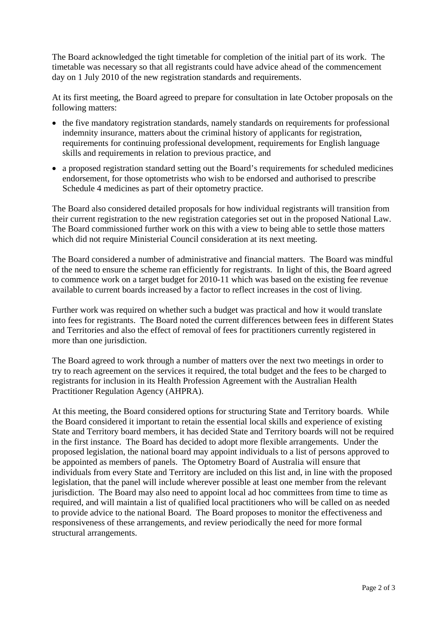The Board acknowledged the tight timetable for completion of the initial part of its work. The timetable was necessary so that all registrants could have advice ahead of the commencement day on 1 July 2010 of the new registration standards and requirements.

At its first meeting, the Board agreed to prepare for consultation in late October proposals on the following matters:

- the five mandatory registration standards, namely standards on requirements for professional indemnity insurance, matters about the criminal history of applicants for registration, requirements for continuing professional development, requirements for English language skills and requirements in relation to previous practice, and
- a proposed registration standard setting out the Board's requirements for scheduled medicines endorsement, for those optometrists who wish to be endorsed and authorised to prescribe Schedule 4 medicines as part of their optometry practice.

The Board also considered detailed proposals for how individual registrants will transition from their current registration to the new registration categories set out in the proposed National Law. The Board commissioned further work on this with a view to being able to settle those matters which did not require Ministerial Council consideration at its next meeting.

The Board considered a number of administrative and financial matters. The Board was mindful of the need to ensure the scheme ran efficiently for registrants. In light of this, the Board agreed to commence work on a target budget for 2010-11 which was based on the existing fee revenue available to current boards increased by a factor to reflect increases in the cost of living.

Further work was required on whether such a budget was practical and how it would translate into fees for registrants. The Board noted the current differences between fees in different States and Territories and also the effect of removal of fees for practitioners currently registered in more than one jurisdiction.

The Board agreed to work through a number of matters over the next two meetings in order to try to reach agreement on the services it required, the total budget and the fees to be charged to registrants for inclusion in its Health Profession Agreement with the Australian Health Practitioner Regulation Agency (AHPRA).

At this meeting, the Board considered options for structuring State and Territory boards. While the Board considered it important to retain the essential local skills and experience of existing State and Territory board members, it has decided State and Territory boards will not be required in the first instance. The Board has decided to adopt more flexible arrangements. Under the proposed legislation, the national board may appoint individuals to a list of persons approved to be appointed as members of panels. The Optometry Board of Australia will ensure that individuals from every State and Territory are included on this list and, in line with the proposed legislation, that the panel will include wherever possible at least one member from the relevant jurisdiction. The Board may also need to appoint local ad hoc committees from time to time as required, and will maintain a list of qualified local practitioners who will be called on as needed to provide advice to the national Board. The Board proposes to monitor the effectiveness and responsiveness of these arrangements, and review periodically the need for more formal structural arrangements.